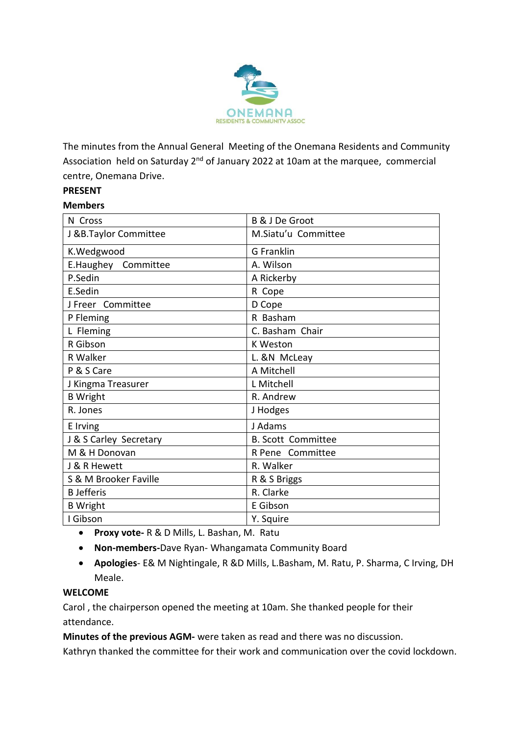

The minutes from the Annual General Meeting of the Onemana Residents and Community Association held on Saturday 2<sup>nd</sup> of January 2022 at 10am at the marquee, commercial centre, Onemana Drive.

## **PRESENT**

#### **Members**

| N Cross                | B & J De Groot            |
|------------------------|---------------------------|
| J &B.Taylor Committee  | M.Siatu'u Committee       |
| K.Wedgwood             | G Franklin                |
| E.Haughey Committee    | A. Wilson                 |
| P.Sedin                | A Rickerby                |
| E.Sedin                | R Cope                    |
| J Freer Committee      | D Cope                    |
| P Fleming              | R Basham                  |
| L Fleming              | C. Basham Chair           |
| R Gibson               | <b>K Weston</b>           |
| R Walker               | L. &N McLeay              |
| P & S Care             | A Mitchell                |
| J Kingma Treasurer     | L Mitchell                |
| <b>B</b> Wright        | R. Andrew                 |
| R. Jones               | J Hodges                  |
| E Irving               | J Adams                   |
| J & S Carley Secretary | <b>B. Scott Committee</b> |
| M & H Donovan          | R Pene Committee          |
| J & R Hewett           | R. Walker                 |
| S & M Brooker Faville  | R & S Briggs              |
| <b>B</b> Jefferis      | R. Clarke                 |
| <b>B</b> Wright        | E Gibson                  |
| I Gibson               | Y. Squire                 |

- **Proxy vote-** R & D Mills, L. Bashan, M. Ratu
- **Non-members-**Dave Ryan- Whangamata Community Board
- **Apologies** E& M Nightingale, R &D Mills, L.Basham, M. Ratu, P. Sharma, C Irving, DH Meale.

### **WELCOME**

Carol , the chairperson opened the meeting at 10am. She thanked people for their attendance.

**Minutes of the previous AGM-** were taken as read and there was no discussion.

Kathryn thanked the committee for their work and communication over the covid lockdown.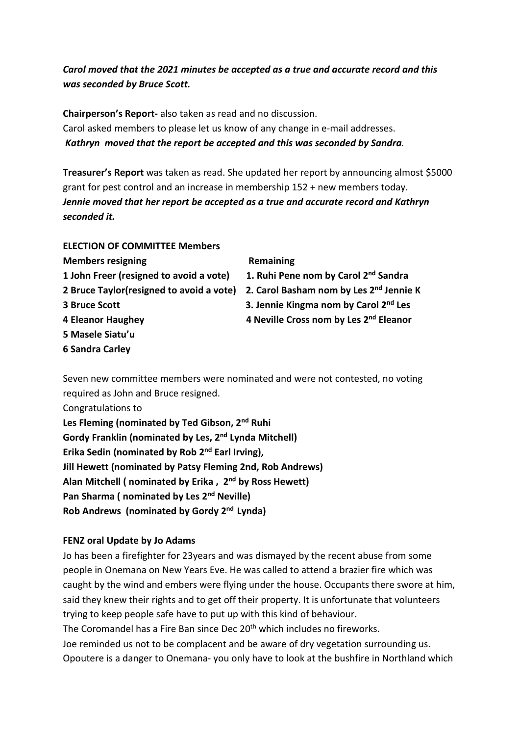# *Carol moved that the 2021 minutes be accepted as a true and accurate record and this was seconded by Bruce Scott.*

**Chairperson's Report-** also taken as read and no discussion. Carol asked members to please let us know of any change in e-mail addresses. *Kathryn moved that the report be accepted and this was seconded by Sandra.* 

**Treasurer's Report** was taken as read. She updated her report by announcing almost \$5000 grant for pest control and an increase in membership 152 + new members today. *Jennie moved that her report be accepted as a true and accurate record and Kathryn seconded it.* 

**ELECTION OF COMMITTEE Members Members resigning The Contract Remaining Remaining 1 John Freer (resigned to avoid a vote) 1. Ruhi Pene nom by Carol 2nd Sandra 3 Bruce Scott 3. Jennie Kingma nom by Carol 2nd Les 4 Eleanor Haughey 4 Neville Cross nom by Les 2nd Eleanor 5 Masele Siatu'u 6 Sandra Carley** 

**2 Bruce Taylor(resigned to avoid a vote) 2. Carol Basham nom by Les 2nd Jennie K** 

Seven new committee members were nominated and were not contested, no voting required as John and Bruce resigned.

Congratulations to **Les Fleming (nominated by Ted Gibson, 2nd Ruhi Gordy Franklin (nominated by Les, 2nd Lynda Mitchell) Erika Sedin (nominated by Rob 2nd Earl Irving), Jill Hewett (nominated by Patsy Fleming 2nd, Rob Andrews) Alan Mitchell ( nominated by Erika , 2nd by Ross Hewett)** 

**Pan Sharma ( nominated by Les 2nd Neville)** 

**Rob Andrews (nominated by Gordy 2nd Lynda)** 

# **FENZ oral Update by Jo Adams**

Jo has been a firefighter for 23years and was dismayed by the recent abuse from some people in Onemana on New Years Eve. He was called to attend a brazier fire which was caught by the wind and embers were flying under the house. Occupants there swore at him, said they knew their rights and to get off their property. It is unfortunate that volunteers trying to keep people safe have to put up with this kind of behaviour. The Coromandel has a Fire Ban since Dec 20<sup>th</sup> which includes no fireworks. Joe reminded us not to be complacent and be aware of dry vegetation surrounding us. Opoutere is a danger to Onemana- you only have to look at the bushfire in Northland which